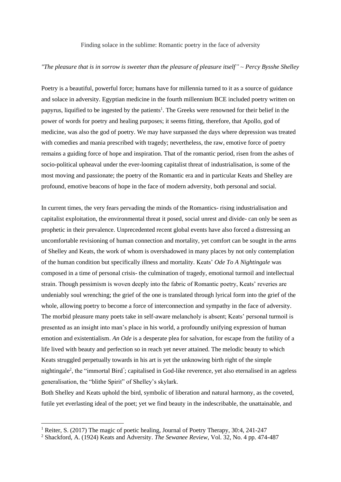Finding solace in the sublime: Romantic poetry in the face of adversity

## *"The pleasure that is in sorrow is sweeter than the pleasure of pleasure itself" ~ Percy Bysshe Shelley*

Poetry is a beautiful, powerful force; humans have for millennia turned to it as a source of guidance and solace in adversity. Egyptian medicine in the fourth millennium BCE included poetry written on papyrus, liquified to be ingested by the patients<sup>1</sup>. The Greeks were renowned for their belief in the power of words for poetry and healing purposes; it seems fitting, therefore, that Apollo, god of medicine, was also the god of poetry. We may have surpassed the days where depression was treated with comedies and mania prescribed with tragedy; nevertheless, the raw, emotive force of poetry remains a guiding force of hope and inspiration. That of the romantic period, risen from the ashes of socio-political upheaval under the ever-looming capitalist threat of industrialisation, is some of the most moving and passionate; the poetry of the Romantic era and in particular Keats and Shelley are profound, emotive beacons of hope in the face of modern adversity, both personal and social.

In current times, the very fears pervading the minds of the Romantics- rising industrialisation and capitalist exploitation, the environmental threat it posed, social unrest and divide- can only be seen as prophetic in their prevalence. Unprecedented recent global events have also forced a distressing an uncomfortable revisioning of human connection and mortality, yet comfort can be sought in the arms of Shelley and Keats, the work of whom is overshadowed in many places by not only contemplation of the human condition but specifically illness and mortality. Keats' *Ode To A Nightingale* was composed in a time of personal crisis- the culmination of tragedy, emotional turmoil and intellectual strain. Though pessimism is woven deeply into the fabric of Romantic poetry, Keats' reveries are undeniably soul wrenching; the grief of the one is translated through lyrical form into the grief of the whole, allowing poetry to become a force of interconnection and sympathy in the face of adversity. The morbid pleasure many poets take in self-aware melancholy is absent; Keats' personal turmoil is presented as an insight into man's place in his world, a profoundly unifying expression of human emotion and existentialism. *An Ode* is a desperate plea for salvation, for escape from the futility of a life lived with beauty and perfection so in reach yet never attained. The melodic beauty to which Keats struggled perpetually towards in his art is yet the unknowing birth right of the simple nightingale<sup>2</sup>, the "immortal Bird"; capitalised in God-like reverence, yet also eternalised in an ageless generalisation, the "blithe Spirit" of Shelley's skylark.

Both Shelley and Keats uphold the bird, symbolic of liberation and natural harmony, as the coveted, futile yet everlasting ideal of the poet; yet we find beauty in the indescribable, the unattainable, and

<sup>&</sup>lt;sup>1</sup> Reiter, S. (2017) The magic of poetic healing, Journal of Poetry Therapy, 30:4, 241-247

<sup>2</sup> Shackford, A. (1924) Keats and Adversity. *The Sewanee Review*, Vol. 32, No. 4 pp. 474-487